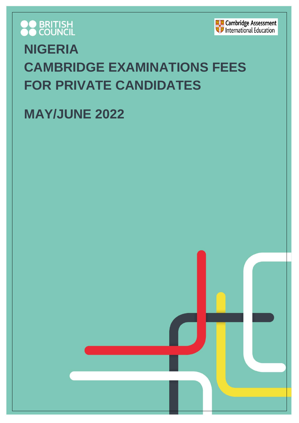



# **NIGERIA CAMBRIDGE EXAMINATIONS FEES FOR PRIVATE CANDIDATES**

## **MAY/JUNE 2022**

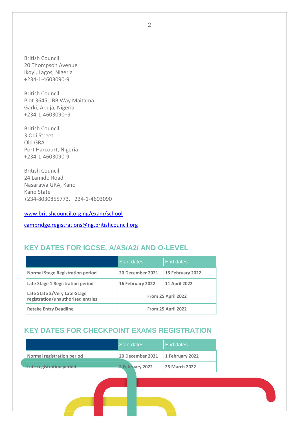British Council 20 Thompson Avenue Ikoyi, Lagos, Nigeria +234-1-4603090-9

British Council Plot 3645, IBB Way Maitama Garki, Abuja, Nigeria +234-1-4603090–9

British Council 3 Odi Street Old GRA Port Harcourt, Nigeria +234-1-4603090-9

British Council 24 Lamido Road Nasarawa GRA, Kano Kano State +234-8030855773, +234-1-4603090

[www.britishcouncil.org.ng/exam/school](http://www.britishcouncil.org.ng/exam/school)

[cambridge.registrations@ng.britishcouncil.org](mailto:cambridge.registrations@ng.britishcouncil.org)

## **KEY DATES FOR IGCSE, A/AS/A2/ AND O-LEVEL**

|                                                                   | <b>Start dates</b> | End dates            |  |  |
|-------------------------------------------------------------------|--------------------|----------------------|--|--|
| <b>Normal Stage Registration period</b>                           | 20 December 2021   | 15 February 2022     |  |  |
| Late Stage 1 Registration period                                  | 16 February 2022   | <b>11 April 2022</b> |  |  |
| Late State 2/Very Late-Stage<br>registration/unauthorised entries | From 25 April 2022 |                      |  |  |
| <b>Retake Entry Deadline</b>                                      | From 25 April 2022 |                      |  |  |

## **KEY DATES FOR CHECKPOINT EXAMS REGISTRATION**

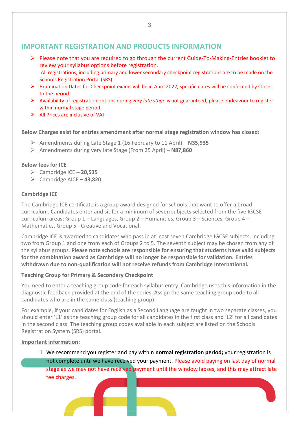## **IMPORTANT REGISTRATION AND PRODUCTS INFORMATION**

- ➢ Please note that you are required to go through the current Guide-To-Making-Entries booklet to review your syllabus options before registration. All registrations, including primary and lower secondary checkpoint registrations are to be made on the Schools Registration Portal (SRS).
- ➢ Examination Dates for Checkpoint exams will be in April 2022, specific dates will be confirmed by Closer to the period.
- ➢ Availability of registration options during *very late stage* is not guaranteed, please endeavour to register within normal stage period.
- $\triangleright$  All Prices are inclusive of VAT

**Below Charges exist for entries amendment after normal stage registration window has closed:**

- ➢ Amendments during Late Stage 1 (16 February to 11 April) **N35,935**
- ➢ Amendments during very late Stage (From 25 April) **N87,860**

#### **Below fees for ICE**

- ➢ Cambridge ICE **– 20,535**
- ➢ Cambridge AICE **– 43,820**

#### **Cambridge ICE**

The Cambridge ICE certificate is a group award designed for schools that want to offer a broad curriculum. Candidates enter and sit for a minimum of seven subjects selected from the five IGCSE curriculum areas: Group 1 – Languages, Group 2 – Humanities, Group 3 – Sciences, Group 4 – Mathematics, Group 5 - Creative and Vocational.

Cambridge ICE is awarded to candidates who pass in at least seven Cambridge IGCSE subjects, including two from Group 1 and one from each of Groups 2 to 5. The seventh subject may be chosen from any of the syllabus groups. **Please note schools are responsible for ensuring that students have valid subjects for the combination award as Cambridge will no longer be responsible for validation. Entries withdrawn due to non-qualification will not receive refunds from Cambridge International.**

#### **Teaching Group for Primary & Secondary Checkpoint**

You need to enter a teaching group code for each syllabus entry. Cambridge uses this information in the diagnostic feedback provided at the end of the series. Assign the same teaching group code to all candidates who are in the same class (teaching group).

For example, if your candidates for English as a Second Language are taught in two separate classes, you should enter 'L1' as the teaching group code for all candidates in the first class and 'L2' for all candidates in the second class. The teaching group codes available in each subject are listed on the Schools Registration System (SRS) portal.

#### **Important information:**

1 We recommend you register and pay within **normal registration period;** your registration is not complete until we have received your payment. Please avoid paying on last day of normal stage as we may not have received payment until the window lapses, and this may attract late fee charges.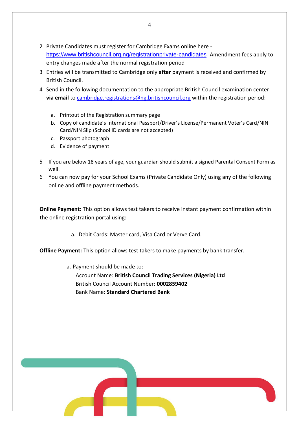- 2 Private Candidates must register for Cambridge Exams online here <https://www.britishcouncil.org.ng/registrationprivate-candidates> Amendment fees apply to entry changes made after the normal registration period
- 3 Entries will be transmitted to Cambridge only **after** payment is received and confirmed by British Council.
- 4 Send in the following documentation to the appropriate British Council examination center via email t[o cambridge.registrations@ng.britishcouncil.org](mailto:cambridge.registrations@ng.britishcouncil.org) within the registration period:
	- a. Printout of the Registration summary page
	- b. Copy of candidate's International Passport/Driver's License/Permanent Voter's Card/NIN Card/NIN Slip (School ID cards are not accepted)
	- c. Passport photograph
	- d. Evidence of payment
- 5 If you are below 18 years of age, your guardian should submit a signed Parental Consent Form as well.
- 6 You can now pay for your School Exams (Private Candidate Only) using any of the following online and offline payment methods.

**Online Payment:** This option allows test takers to receive instant payment confirmation within the online registration portal using:

a. Debit Cards: Master card, Visa Card or Verve Card.

**Offline Payment:** This option allows test takers to make payments by bank transfer.

a. Payment should be made to:

Account Name: **British Council Trading Services (Nigeria) Ltd** British Council Account Number: **0002859402** Bank Name: **Standard Chartered Bank**

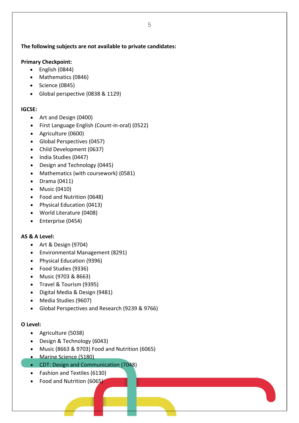#### **The following subjects are not available to private candidates:**

#### **Primary Checkpoint:**

- English (0844)
- Mathematics (0846)
- Science (0845)
- Global perspective (0838 & 1129)

#### **IGCSE:**

- Art and Design (0400)
- First Language English (Count-in-oral) (0522)
- Agriculture (0600)
- Global Perspectives (0457)
- Child Development (0637)
- India Studies (0447)
- Design and Technology (0445)
- Mathematics (with coursework) (0581)
- Drama (0411)
- Music (0410)
- Food and Nutrition (0648)
- Physical Education (0413)
- World Literature (0408)
- Enterprise (0454)

#### **AS & A Level:**

- Art & Design (9704)
- Environmental Management (8291)
- Physical Education (9396)
- Food Studies (9336)
- Music (9703 & 8663)
- Travel & Tourism (9395)
- Digital Media & Design (9481)
- Media Studies (9607)
- Global Perspectives and Research (9239 & 9766)

#### **O Level:**

- Agriculture (5038)
- Design & Technology (6043)
- Music (8663 & 9703) Food and Nutrition (6065)
- Marine Science (5180)
- CDT: Design and Communication (7048)
- Fashion and Textiles (6130)
- Food and Nutrition (6065)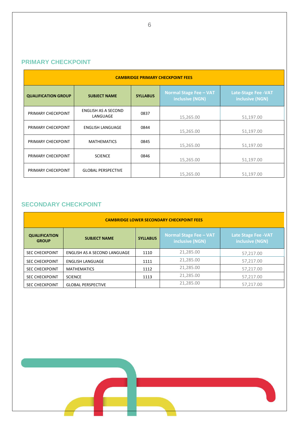### **PRIMARY CHECKPOINT**

| <b>CAMBRIDGE PRIMARY CHECKPOINT FEES</b> |                                 |                 |                                                  |                                                |  |  |  |
|------------------------------------------|---------------------------------|-----------------|--------------------------------------------------|------------------------------------------------|--|--|--|
| <b>QUALIFICATION GROUP</b>               | <b>SUBJECT NAME</b>             | <b>SYLLABUS</b> | <b>Normal Stage Fee - VAT</b><br>inclusive (NGN) | <b>Late-Stage Fee - VAT</b><br>inclusive (NGN) |  |  |  |
| PRIMARY CHECKPOINT                       | ENGLISH AS A SECOND<br>LANGUAGE | 0837            | 15,265.00                                        | 51,197.00                                      |  |  |  |
| PRIMARY CHECKPOINT                       | <b>ENGLISH LANGUAGE</b>         | 0844            | 15,265.00                                        | 51,197.00                                      |  |  |  |
| PRIMARY CHECKPOINT                       | <b>MATHEMATICS</b>              | 0845            | 15,265.00                                        | 51,197.00                                      |  |  |  |
| PRIMARY CHECKPOINT                       | <b>SCIENCE</b>                  | 0846            | 15,265.00                                        | 51,197.00                                      |  |  |  |
| PRIMARY CHECKPOINT                       | <b>GLOBAL PERSPECTIVE</b>       |                 | 15,265.00                                        | 51,197.00                                      |  |  |  |

## **SECONDARY CHECKPOINT**

| <b>CAMBRIDGE LOWER SECONDARY CHECKPOINT FEES</b> |                              |                 |                                                  |                                                |  |  |  |
|--------------------------------------------------|------------------------------|-----------------|--------------------------------------------------|------------------------------------------------|--|--|--|
| <b>QUALIFICATION</b><br><b>GROUP</b>             | <b>SUBJECT NAME</b>          | <b>SYLLABUS</b> | <b>Normal Stage Fee - VAT</b><br>inclusive (NGN) | <b>Late Stage Fee - VAT</b><br>inclusive (NGN) |  |  |  |
| <b>SEC CHECKPOINT</b>                            | ENGLISH AS A SECOND LANGUAGE | 1110            | 21,285.00                                        | 57,217.00                                      |  |  |  |
| <b>SEC CHECKPOINT</b>                            | <b>ENGLISH LANGUAGE</b>      | 1111            | 21,285.00                                        | 57,217.00                                      |  |  |  |
| <b>SEC CHECKPOINT</b>                            | <b>MATHEMATICS</b>           | 1112            | 21,285.00                                        | 57.217.00                                      |  |  |  |
| <b>SEC CHECKPOINT</b>                            | <b>SCIENCE</b>               | 1113            | 21,285.00                                        | 57,217.00                                      |  |  |  |
| <b>SEC CHECKPOINT</b>                            | <b>GLOBAL PERSPECTIVE</b>    |                 | 21,285.00                                        | 57.217.00                                      |  |  |  |

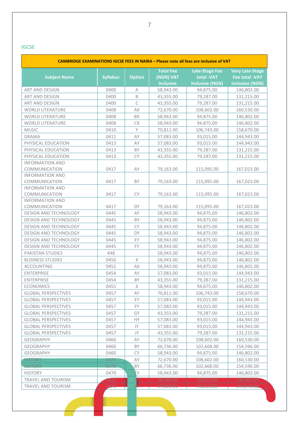$\blacksquare$ 

| CAMBRIDGE EXAMINATIONS IGCSE FEES IN NAIRA - Please note all fees are inclusive of VAT |                 |               |                  |                       |                        |  |  |  |
|----------------------------------------------------------------------------------------|-----------------|---------------|------------------|-----------------------|------------------------|--|--|--|
|                                                                                        |                 |               | <b>Total Fee</b> | <b>Late-Stage Fee</b> | <b>Very Late-Stage</b> |  |  |  |
| <b>Subject Name</b>                                                                    | <b>Syllabus</b> | <b>Option</b> | (NGN) VAT        | total -VAT            | <b>Fee total -VAT</b>  |  |  |  |
|                                                                                        |                 |               | <b>Inclusive</b> | inclusive (NGN)       | inclusive (NGN)        |  |  |  |
| ART AND DESIGN                                                                         | 0400            | A             | 58,943.00        | 94,875.00             | 146,802.00             |  |  |  |
| ART AND DESIGN                                                                         | 0400            | B             | 43,355.00        | 79,287.00             | 131,215.00             |  |  |  |
| ART AND DESIGN                                                                         | 0400            | $\mathsf{C}$  | 43,355.00        | 79,287.00             | 131,215.00             |  |  |  |
| <b>WORLD LITERATURE</b>                                                                | 0408            | AX            | 72,670.00        | 108,602.00            | 160,530.00             |  |  |  |
| <b>WORLD LITERATURE</b>                                                                | 0408            | BX            | 58,943.00        | 94,875.00             | 146,802.00             |  |  |  |
| <b>WORLD LITERATURE</b>                                                                | 0408            | СX            | 58,943.00        | 94,875.00             | 146,802.00             |  |  |  |
| <b>MUSIC</b>                                                                           | 0410            | Y             | 70,811.00        | 106,743.00            | 158,670.00             |  |  |  |
| <b>DRAMA</b>                                                                           | 0411            | AY            | 57,083.00        | 93,015.00             | 144,943.00             |  |  |  |
| PHYSICAL EDUCATION                                                                     | 0413            | AY            | 57,083.00        | 93,015.00             | 144,943.00             |  |  |  |
| PHYSICAL EDUCATION                                                                     | 0413            | BY            | 43,355.00        | 79,287.00             | 131,215.00             |  |  |  |
| PHYSICAL EDUCATION                                                                     | 0413            | CY            | 43,355.00        | 79,287.00             | 131,215.00             |  |  |  |
| <b>INFORMATION AND</b>                                                                 |                 |               |                  |                       |                        |  |  |  |
| COMMUNICATION                                                                          | 0417            | AY            | 79,163.00        | 115,095.00            | 167,023.00             |  |  |  |
| <b>INFORMATION AND</b>                                                                 |                 |               |                  |                       |                        |  |  |  |
| COMMUNICATION                                                                          | 0417            | BY            | 79,163.00        | 115,095.00            | 167,023.00             |  |  |  |
| <b>INFORMATION AND</b>                                                                 |                 |               |                  |                       |                        |  |  |  |
| COMMUNICATION                                                                          | 0417            | CY            | 79,163.00        | 115,095.00            | 167,023.00             |  |  |  |
| <b>INFORMATION AND</b>                                                                 |                 |               |                  |                       |                        |  |  |  |
| COMMUNICATION                                                                          | 0417            | DY.           | 79,163.00        | 115,095.00            | 167,023.00             |  |  |  |
| DESIGN AND TECHNOLOGY                                                                  | 0445            | AY            | 58,943.00        | 94,875.00             | 146,802.00             |  |  |  |
| DESIGN AND TECHNOLOGY                                                                  | 0445            | BY            | 58,943.00        | 94,875.00             | 146,802.00             |  |  |  |
| DESIGN AND TECHNOLOGY                                                                  | 0445            | <b>CY</b>     | 58,943.00        | 94,875.00             | 146,802.00             |  |  |  |
| DESIGN AND TECHNOLOGY                                                                  | 0445            | DY            | 58,943.00        | 94,875.00             | 146,802.00             |  |  |  |
| DESIGN AND TECHNOLOGY                                                                  | 0445            | EY            | 58,943.00        | 94,875.00             | 146,802.00             |  |  |  |
| DESIGN AND TECHNOLOGY                                                                  | 0445            | <b>FY</b>     | 58,943.00        | 94,875.00             | 146,802.00             |  |  |  |
| PAKISTAN STUDIES                                                                       | 448             |               | 58,943.00        | 94,875.00             | 146,802.00             |  |  |  |
| <b>BUSINESS STUDIES</b>                                                                | 0450            | X             | 58,943.00        | 94,875.00             | 146,802.00             |  |  |  |
| <b>ACCOUNTING</b>                                                                      | 0452            | AX            | 58,943.00        | 94,875.00             | 146,802.00             |  |  |  |
| <b>ENTERPRISE</b>                                                                      | 0454            | AY            | 57,083.00        | 93,015.00             | 144,943.00             |  |  |  |
| <b>ENTERPRISE</b>                                                                      | 0454            | BY            | 43,355.00        | 79,287.00             | 131,215.00             |  |  |  |
| <b>ECONOMICS</b>                                                                       | 0455            | Χ             | 58,943.00        | 94,875.00             | 146,802.00             |  |  |  |
| <b>GLOBAL PERSPECTIVES</b>                                                             | 0457            | ΑY            | 70,811.00        | 106,743.00            | 158,670.00             |  |  |  |
| <b>GLOBAL PERSPECTIVES</b>                                                             | 0457            | EY            | 57,083.00        | 93,015.00             | 144,943.00             |  |  |  |
| <b>GLOBAL PERSPECTIVES</b>                                                             | 0457            | FY            | 57,083.00        | 93,015.00             | 144,943.00             |  |  |  |
| <b>GLOBAL PERSPECTIVES</b>                                                             | 0457            | GY            | 43,355.00        | 79,287.00             | 131,215.00             |  |  |  |
| <b>GLOBAL PERSPECTIVES</b>                                                             | 0457            | HY            | 57,083.00        | 93,015.00             | 144,943.00             |  |  |  |
| <b>GLOBAL PERSPECTIVES</b>                                                             | 0457            | IY            | 57,083.00        | 93,015.00             | 144,943.00             |  |  |  |
| <b>GLOBAL PERSPECTIVES</b>                                                             | 0457            | JY            | 43,355.00        | 79,287.00             | 131,215.00             |  |  |  |
| GEOGRAPHY                                                                              | 0460            | AY            | 72,670.00        | 108,602.00            | 160,530.00             |  |  |  |
| <b>GEOGRAPHY</b>                                                                       | 0460            | BY            | 66,736.00        | 102,668.00            | 154,596.00             |  |  |  |
| <b>GEOGRAPHY</b>                                                                       | 0460            | СY            | 58,943.00        | 94,875.00             | 146,802.00             |  |  |  |
| <b>HISTORY</b>                                                                         | 0470            | ΑY            | 72,670.00        | 108,602.00            | 160,530.00             |  |  |  |
| <b>HISTORY</b>                                                                         | 0470            | BY            | 66,736.00        | 102,668.00            | 154,596.00             |  |  |  |
| <b>HISTORY</b>                                                                         | 0470            | CY            | 58,943.00        | 94,875.00             | 146,802.00             |  |  |  |
| TRAVEL AND TOURISM                                                                     | 0471            |               | 58,943.00        | 94,875.00             | 146,802.00             |  |  |  |
| TRAVEL AND TOURISM                                                                     | 0471            |               | 57,083.00        | 93,015.00             | 144,943.00.            |  |  |  |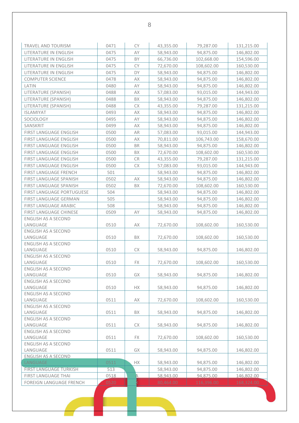| TRAVEL AND TOURISM                     | 0471 | <b>CY</b> | 43,355.00 | 79,287.00  | 131,215.00 |
|----------------------------------------|------|-----------|-----------|------------|------------|
| LITERATURE IN ENGLISH                  | 0475 | AY        | 58,943.00 | 94,875.00  | 146,802.00 |
| LITERATURE IN ENGLISH                  | 0475 | BY        | 66,736.00 | 102,668.00 | 154,596.00 |
| LITERATURE IN ENGLISH                  | 0475 | <b>CY</b> | 72,670.00 | 108,602.00 | 160,530.00 |
| LITERATURE IN ENGLISH                  | 0475 | DY        | 58,943.00 | 94,875.00  | 146,802.00 |
| <b>COMPUTER SCIENCE</b>                | 0478 | AX        | 58,943.00 | 94,875.00  | 146,802.00 |
| LATIN                                  | 0480 | AY        | 58,943.00 | 94,875.00  | 146,802.00 |
| LITERATURE (SPANISH)                   | 0488 | АX        | 57,083.00 | 93,015.00  | 144,943.00 |
| LITERATURE (SPANISH)                   | 0488 | BX        | 58,943.00 | 94,875.00  | 146,802.00 |
| LITERATURE (SPANISH)                   | 0488 | <b>CX</b> | 43,355.00 | 79,287.00  | 131,215.00 |
| <b>ISLAMIYAT</b>                       | 0493 | AX        | 58,943.00 | 94,875.00  | 146,802.00 |
| SOCIOLOGY                              | 0495 | AY        | 58,943.00 | 94,875.00  | 146,802.00 |
| SANSKRIT                               | 0499 | AX        | 58,943.00 | 94,875.00  | 146,802.00 |
| FIRST LANGUAGE ENGLISH                 | 0500 | AR        | 57,083.00 | 93,015.00  | 144,943.00 |
| FIRST LANGUAGE ENGLISH                 | 0500 | AX        | 70,811.00 | 106,743.00 | 158,670.00 |
|                                        |      | <b>BR</b> |           |            |            |
| FIRST LANGUAGE ENGLISH                 | 0500 |           | 58,943.00 | 94,875.00  | 146,802.00 |
| FIRST LANGUAGE ENGLISH                 | 0500 | BX        | 72,670.00 | 108,602.00 | 160,530.00 |
| FIRST LANGUAGE ENGLISH                 | 0500 | <b>CR</b> | 43,355.00 | 79,287.00  | 131,215.00 |
| FIRST LANGUAGE ENGLISH                 | 0500 | СX        | 57,083.00 | 93,015.00  | 144,943.00 |
| FIRST LANGUAGE FRENCH                  | 501  |           | 58,943.00 | 94,875.00  | 146,802.00 |
| FIRST LANGUAGE SPANISH                 | 0502 | AX        | 58,943.00 | 94,875.00  | 146,802.00 |
| FIRST LANGUAGE SPANISH                 | 0502 | <b>BX</b> | 72,670.00 | 108,602.00 | 160,530.00 |
| FIRST LANGUAGE PORTUGUESE              | 504  |           | 58,943.00 | 94,875.00  | 146,802.00 |
| FIRST LANGUAGE GERMAN                  | 505  |           | 58,943.00 | 94,875.00  | 146,802.00 |
| FIRST LANGUAGE ARABIC                  | 508  |           | 58,943.00 | 94,875.00  | 146,802.00 |
| FIRST LANGUAGE CHINESE                 | 0509 | AY        | 58,943.00 | 94,875.00  | 146,802.00 |
| ENGLISH AS A SECOND                    |      |           |           |            |            |
| LANGUAGE                               | 0510 | AX        | 72,670.00 | 108,602.00 | 160,530.00 |
| <b>ENGLISH AS A SECOND</b>             |      |           |           |            |            |
| LANGUAGE                               | 0510 | BX.       | 72,670.00 | 108,602.00 | 160,530.00 |
| <b>ENGLISH AS A SECOND</b>             |      |           |           |            |            |
| LANGUAGE                               | 0510 | CX.       | 58,943.00 | 94,875.00  | 146,802.00 |
| <b>ENGLISH AS A SECOND</b>             |      |           |           |            |            |
| LANGUAGE                               | 0510 | FX        | 72,670.00 | 108,602.00 | 160,530.00 |
| <b>ENGLISH AS A SECOND</b><br>LANGUAGE | 0510 | GX        |           |            |            |
| <b>ENGLISH AS A SECOND</b>             |      |           | 58,943.00 | 94,875.00  | 146,802.00 |
| LANGUAGE                               | 0510 | <b>HX</b> | 58,943.00 | 94,875.00  | 146,802.00 |
| <b>ENGLISH AS A SECOND</b>             |      |           |           |            |            |
| LANGUAGE                               | 0511 | AX        | 72,670.00 | 108,602.00 | 160,530.00 |
| <b>ENGLISH AS A SECOND</b>             |      |           |           |            |            |
| LANGUAGE                               | 0511 | BX        | 58,943.00 | 94,875.00  | 146,802.00 |
| <b>ENGLISH AS A SECOND</b>             |      |           |           |            |            |
| LANGUAGE                               | 0511 | CX.       | 58,943.00 | 94,875.00  | 146,802.00 |
| <b>ENGLISH AS A SECOND</b>             |      |           |           |            |            |
| LANGUAGE                               | 0511 | FX.       | 72,670.00 | 108,602.00 | 160,530.00 |
| <b>ENGLISH AS A SECOND</b>             |      |           |           |            |            |
| LANGUAGE                               | 0511 | GX        | 58,943.00 | 94,875.00  | 146,802.00 |
| <b>ENGLISH AS A SECOND</b>             |      |           |           |            |            |
| LANGUAGE                               | 0511 | НX        | 58,943.00 | 94,875.00  | 146,802.00 |
| <b>FIRST LANGUAGE TURKISH</b>          | 513  |           | 58,943.00 | 94,875.00  | 146,802.00 |
| FIRST LANGUAGE THAI                    | 0518 | A         | 58,943.00 | 94,875.00  | 146,802.00 |
| <b>FOREIGN LANGUAGE FRENCH</b>         | 0520 |           | 80,464.00 | 116,396.00 | 168,324.00 |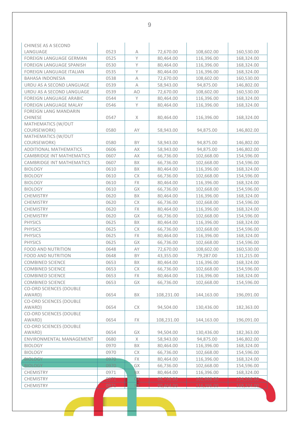| CHINESE AS A SECOND<br>LANGUAGE          | 0523 | А         | 72,670.00  | 108,602.00 | 160,530.00 |
|------------------------------------------|------|-----------|------------|------------|------------|
| <b>FOREIGN LANGUAGE GERMAN</b>           | 0525 | Y         | 80,464.00  | 116,396.00 | 168,324.00 |
| FOREIGN LANGUAGE SPANISH                 | 0530 | Y         | 80,464.00  | 116,396.00 | 168,324.00 |
| <b>FOREIGN LANGUAGE ITALIAN</b>          | 0535 | Y         | 80,464.00  | 116,396.00 | 168,324.00 |
| <b>BAHASA INDONESIA</b>                  | 0538 | Α         | 72,670.00  | 108,602.00 | 160,530.00 |
| URDU AS A SECOND LANGUAGE                | 0539 | A         | 58,943.00  | 94,875.00  | 146,802.00 |
| URDU AS A SECOND LANGUAGE                | 0539 | AO        | 72,670.00  | 108,602.00 | 160,530.00 |
| <b>FOREIGN LANGUAGE ARABIC</b>           | 0544 | Υ         | 80,464.00  | 116,396.00 | 168,324.00 |
| <b>FOREIGN LANGUAGE MALAY</b>            | 0546 | Y         | 80,464.00  | 116,396.00 | 168,324.00 |
| <b>FOREIGN LANG MANDARIN</b>             |      |           |            |            |            |
| <b>CHINESE</b>                           | 0547 | Χ         | 80,464.00  | 116,396.00 | 168,324.00 |
| MATHEMATICS (W/OUT                       |      |           |            |            |            |
| COURSEWORK)                              | 0580 | AY        | 58,943.00  | 94,875.00  | 146,802.00 |
| MATHEMATICS (W/OUT                       |      |           |            |            |            |
| COURSEWORK)                              | 0580 | BY        | 58,943.00  | 94,875.00  | 146,802.00 |
| <b>ADDITIONAL MATHEMATICS</b>            | 0606 | AX        | 58,943.00  | 94,875.00  | 146,802.00 |
| <b>CAMBRIDGE INT MATHEMATICS</b>         | 0607 | AX        | 66,736.00  | 102,668.00 | 154,596.00 |
| CAMBRIDGE INT MATHEMATICS                | 0607 | BX        | 66,736.00  | 102,668.00 | 154,596.00 |
| <b>BIOLOGY</b>                           | 0610 | BX        | 80,464.00  | 116,396.00 | 168,324.00 |
| <b>BIOLOGY</b>                           | 0610 | <b>CX</b> | 66,736.00  | 102,668.00 | 154,596.00 |
| <b>BIOLOGY</b>                           | 0610 | FX        | 80,464.00  | 116,396.00 | 168,324.00 |
| <b>BIOLOGY</b>                           | 0610 | GX        | 66,736.00  | 102,668.00 | 154,596.00 |
| CHEMISTRY                                | 0620 | BX        | 80,464.00  | 116,396.00 | 168,324.00 |
| <b>CHEMISTRY</b>                         | 0620 | СX        | 66,736.00  | 102,668.00 | 154,596.00 |
| <b>CHEMISTRY</b>                         | 0620 | <b>FX</b> | 80,464.00  | 116,396.00 | 168,324.00 |
| <b>CHEMISTRY</b>                         | 0620 | GX        | 66,736.00  | 102,668.00 | 154,596.00 |
| <b>PHYSICS</b>                           | 0625 | BX        | 80,464.00  | 116,396.00 | 168,324.00 |
| <b>PHYSICS</b>                           | 0625 | <b>CX</b> | 66,736.00  | 102,668.00 | 154,596.00 |
| <b>PHYSICS</b>                           | 0625 | FX        | 80,464.00  | 116,396.00 | 168,324.00 |
| <b>PHYSICS</b>                           | 0625 | GX        | 66,736.00  | 102,668.00 | 154,596.00 |
| <b>FOOD AND NUTRITION</b>                | 0648 | AY        | 72,670.00  | 108,602.00 | 160,530.00 |
| <b>FOOD AND NUTRITION</b>                | 0648 | BY        | 43,355.00  | 79,287.00  | 131,215.00 |
| <b>COMBINED SCIENCE</b>                  | 0653 | BΧ        | 80,464.00  | 116,396.00 | 168,324.00 |
| <b>COMBINED SCIENCE</b>                  | 0653 | <b>CX</b> | 66,736.00  | 102,668.00 | 154,596.00 |
| <b>COMBINED SCIENCE</b>                  | 0653 | FX        | 80,464.00  | 116,396.00 | 168,324.00 |
| <b>COMBINED SCIENCE</b>                  | 0653 | GX        | 66,736.00  | 102,668.00 | 154,596.00 |
| <b>CO-ORD SCIENCES (DOUBLE</b>           |      |           |            |            |            |
| AWARD)                                   | 0654 | BX        | 108,231.00 | 144,163.00 | 196,091.00 |
| <b>CO-ORD SCIENCES (DOUBLE</b>           |      |           |            |            |            |
| AWARD)                                   | 0654 | СX        | 94,504.00  | 130,436.00 | 182,363.00 |
| <b>CO-ORD SCIENCES (DOUBLE</b>           |      |           |            |            |            |
| AWARD)                                   | 0654 | FX        | 108,231.00 | 144,163.00 | 196,091.00 |
| <b>CO-ORD SCIENCES (DOUBLE</b><br>AWARD) | 0654 | GX        | 94,504.00  | 130,436.00 | 182,363.00 |
| ENVIRONMENTAL MANAGEMENT                 | 0680 | Χ         | 58,943.00  | 94,875.00  | 146,802.00 |
| <b>BIOLOGY</b>                           | 0970 | BX        | 80,464.00  | 116,396.00 | 168,324.00 |
| <b>BIOLOGY</b>                           | 0970 | СX        | 66,736.00  | 102,668.00 | 154,596.00 |
| <b>BIOLOGY</b>                           | 0970 | FX        | 80,464.00  | 116,396.00 | 168,324.00 |
| <b>BIOLOGY</b>                           | 0970 | GX        | 66,736.00  | 102,668.00 | 154,596.00 |
| <b>CHEMISTRY</b>                         | 0971 | BX        | 80,464.00  | 116,396.00 | 168,324.00 |
| CHEMISTRY                                | 0971 | ŢХ        | 66,736.00  | 102,668.00 | 154,596.00 |
| CHEMISTRY                                | 0971 |           | 80 464 00  | 116,396,00 | 168,324.00 |
|                                          |      |           |            |            |            |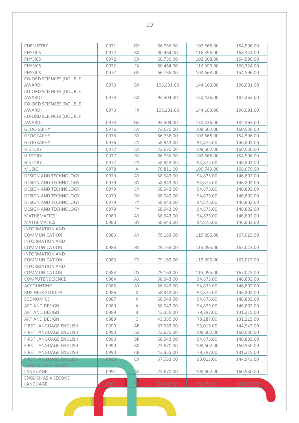| CHEMISTRY                      | 0971 | GX                        | 66,736.00  | 102,668.00 | 154,596.00 |
|--------------------------------|------|---------------------------|------------|------------|------------|
| <b>PHYSICS</b>                 | 0972 | BX                        | 80,464.00  | 116,396.00 | 168,324.00 |
| <b>PHYSICS</b>                 | 0972 | СX                        | 66,736.00  | 102,668.00 | 154,596.00 |
| <b>PHYSICS</b>                 | 0972 | FX                        | 80,464.00  | 116,396.00 | 168,324.00 |
| <b>PHYSICS</b>                 | 0972 | GX                        | 66,736.00  | 102,668.00 | 154,596.00 |
| CO-ORD SCIENCES (DOUBLE        |      |                           |            |            |            |
| AWARD)                         | 0973 | BX                        | 108,231.00 | 144,163.00 | 196,091.00 |
| CO-ORD SCIENCES (DOUBLE        |      |                           |            |            |            |
| AWARD)                         | 0973 | СX                        | 94,504.00  | 130,436.00 | 182,363.00 |
| <b>CO-ORD SCIENCES (DOUBLE</b> |      |                           |            |            |            |
| AWARD)                         | 0973 | FX                        | 108,231.00 | 144,163.00 | 196,091.00 |
| CO-ORD SCIENCES (DOUBLE        |      |                           |            |            |            |
| AWARD)                         | 0973 | GX                        | 94,504.00  | 130,436.00 | 182,363.00 |
| <b>GEOGRAPHY</b>               | 0976 | AY                        | 72,670.00  | 108,602.00 | 160,530.00 |
| <b>GEOGRAPHY</b>               | 0976 | BY                        | 66,736.00  | 102,668.00 | 154,596.00 |
| <b>GEOGRAPHY</b>               | 0976 | CY                        | 58,943.00  | 94,875.00  | 146,802.00 |
| <b>HISTORY</b>                 | 0977 | AY                        | 72,670.00  | 108,602.00 | 160,530.00 |
| <b>HISTORY</b>                 | 0977 | BY                        | 66,736.00  | 102,668.00 | 154,596.00 |
| <b>HISTORY</b>                 | 0977 | <b>CY</b>                 | 58,943.00  | 94,875.00  | 146,802.00 |
| <b>MUSIC</b>                   | 0978 | $\boldsymbol{\mathsf{A}}$ | 70,811.00  | 106,743.00 | 158,670.00 |
| DESIGN AND TECHNOLOGY          | 0979 | AY                        | 58,943.00  | 94,875.00  | 146,802.00 |
| DESIGN AND TECHNOLOGY          | 0979 | BY                        | 58,943.00  | 94,875.00  | 146,802.00 |
| DESIGN AND TECHNOLOGY          | 0979 | <b>CY</b>                 | 58,943.00  | 94,875.00  | 146,802.00 |
| DESIGN AND TECHNOLOGY          | 0979 | DY                        | 58,943.00  | 94,875.00  | 146,802.00 |
| DESIGN AND TECHNOLOGY          | 0979 | EY                        | 58,943.00  | 94,875.00  | 146,802.00 |
| DESIGN AND TECHNOLOGY          | 0979 | <b>FY</b>                 | 58,943.00  | 94,875.00  | 146,802.00 |
| <b>MATHEMATICS</b>             | 0980 | AY                        | 58,943.00  | 94,875.00  | 146,802.00 |
| <b>MATHEMATICS</b>             | 0980 | BY                        | 58,943.00  | 94,875.00  | 146,802.00 |
| <b>INFORMATION AND</b>         |      |                           |            |            |            |
| COMMUNICATION                  | 0983 | AY                        | 79,163.00  | 115,095.00 | 167,023.00 |
| <b>INFORMATION AND</b>         |      |                           |            |            |            |
| COMMUNICATION                  | 0983 | BY                        | 79,163.00  | 115,095.00 | 167,023.00 |
| <b>INFORMATION AND</b>         |      |                           |            |            |            |
| COMMUNICATION                  | 0983 | CY                        | 79,163.00  | 115,095.00 | 167,023.00 |
| <b>INFORMATION AND</b>         |      |                           |            |            |            |
| COMMUNICATION                  | 0983 | DY                        | 79,163.00  | 115,095.00 | 167,023.00 |
| <b>COMPUTER SCIENCE</b>        | 0984 | АX                        | 58,943.00  | 94,875.00  | 146,802.00 |
| <b>ACCOUNTING</b>              | 0985 | АX                        | 58,943.00  | 94,875.00  | 146,802.00 |
| <b>BUSINESS STUDIES</b>        | 0986 | $\mathsf X$               | 58,943.00  | 94,875.00  | 146,802.00 |
| <b>ECONOMICS</b>               | 0987 | X                         | 58,943.00  | 94,875.00  | 146,802.00 |
| ART AND DESIGN                 | 0989 | А                         | 58,943.00  | 94,875.00  | 146,802.00 |
| ART AND DESIGN                 | 0989 | B                         | 43,355.00  | 79,287.00  | 131,215.00 |
| ART AND DESIGN                 | 0989 | $\mathsf C$               | 43,355.00  | 79,287.00  | 131,215.00 |
| FIRST LANGUAGE ENGLISH         | 0990 | AR                        | 57,083.00  | 93,015.00  | 144,943.00 |
| FIRST LANGUAGE ENGLISH         | 0990 | АX                        | 72,670.00  | 108,602.00 | 160,530.00 |
| FIRST LANGUAGE ENGLISH         | 0990 | <b>BR</b>                 | 58,943.00  | 94,875.00  | 146,802.00 |
| FIRST LANGUAGE ENGLISH         | 0990 | BX                        | 72,670.00  | 108,602.00 | 160,530.00 |
| FIRST LANGUAGE ENGLISH         | 0990 | CR                        | 43,355.00  | 79,287.00  | 131,215.00 |
| <b>FIRST LANGUAGE ENGLISH</b>  | 0990 | СX                        | 57,083.00  | 93,015.00  | 144,943.00 |
| <b>ENGLISH AS A SECOND</b>     |      |                           |            |            |            |
| LANGUAGE                       | 0991 | ĄХ                        | 72,670.00  | 108,602.00 | 160,530.00 |
| <b>ENGLISH AS A SECOND</b>     |      |                           |            |            |            |
| LANGUAGE                       | 0991 |                           | 58,943.00  | 94,875.00  | 146,802.00 |
|                                |      |                           |            |            |            |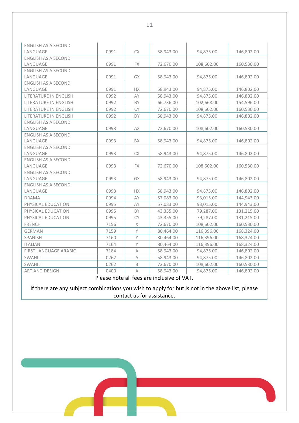| <b>ENGLISH AS A SECOND</b> |      |              |           |            |            |
|----------------------------|------|--------------|-----------|------------|------------|
| LANGUAGE                   | 0991 | СX           | 58,943.00 | 94,875.00  | 146,802.00 |
| <b>ENGLISH AS A SECOND</b> |      |              |           |            |            |
| LANGUAGE                   | 0991 | FX.          | 72,670.00 | 108,602.00 | 160,530.00 |
| <b>ENGLISH AS A SECOND</b> |      |              |           |            |            |
| LANGUAGE                   | 0991 | GX           | 58,943.00 | 94,875.00  | 146,802.00 |
| <b>ENGLISH AS A SECOND</b> |      |              |           |            |            |
| LANGUAGE                   | 0991 | НX           | 58,943.00 | 94,875.00  | 146,802.00 |
| LITERATURE IN ENGLISH      | 0992 | AY           | 58,943.00 | 94,875.00  | 146,802.00 |
| LITERATURE IN ENGLISH      | 0992 | BY           | 66,736.00 | 102,668.00 | 154,596.00 |
| LITERATURE IN ENGLISH      | 0992 | CY           | 72,670.00 | 108,602.00 | 160,530.00 |
| LITERATURE IN ENGLISH      | 0992 | DY           | 58,943.00 | 94,875.00  | 146,802.00 |
| ENGLISH AS A SECOND        |      |              |           |            |            |
| LANGUAGE                   | 0993 | AX           | 72,670.00 | 108,602.00 | 160,530.00 |
| <b>ENGLISH AS A SECOND</b> |      |              |           |            |            |
| LANGUAGE                   | 0993 | <b>BX</b>    | 58,943.00 | 94,875.00  | 146,802.00 |
| ENGLISH AS A SECOND        |      |              |           |            |            |
| LANGUAGE                   | 0993 | СX           | 58,943.00 | 94,875.00  | 146,802.00 |
| <b>ENGLISH AS A SECOND</b> |      |              |           |            |            |
| LANGUAGE                   | 0993 | <b>FX</b>    | 72,670.00 | 108,602.00 | 160,530.00 |
| ENGLISH AS A SECOND        |      |              |           |            |            |
| LANGUAGE                   | 0993 | GX           | 58,943.00 | 94,875.00  | 146,802.00 |
| ENGLISH AS A SECOND        |      |              |           |            |            |
| LANGUAGE                   | 0993 | <b>HX</b>    | 58,943.00 | 94,875.00  | 146,802.00 |
| <b>DRAMA</b>               | 0994 | AY           | 57,083.00 | 93,015.00  | 144,943.00 |
| PHYSICAL EDUCATION         | 0995 | AY           | 57,083.00 | 93,015.00  | 144,943.00 |
| PHYSICAL EDUCATION         | 0995 | BY           | 43,355.00 | 79,287.00  | 131,215.00 |
| PHYSICAL EDUCATION         | 0995 | CY           | 43,355.00 | 79,287.00  | 131,215.00 |
| <b>FRENCH</b>              | 7156 | $\mathsf X$  | 72,670.00 | 108,602.00 | 160,530.00 |
| <b>GERMAN</b>              | 7159 | Y            | 80,464.00 | 116,396.00 | 168,324.00 |
| SPANISH                    | 7160 | $\mathsf{Y}$ | 80,464.00 | 116,396.00 | 168,324.00 |
| <b>ITALIAN</b>             | 7164 | Y            | 80,464.00 | 116,396.00 | 168,324.00 |
| FIRST LANGUAGE ARABIC      | 7184 | Α            | 58,943.00 | 94,875.00  | 146,802.00 |
| SWAHILI                    | 0262 | A            | 58,943.00 | 94,875.00  | 146,802.00 |
| SWAHILI                    | 0262 | B            | 72,670.00 | 108,602.00 | 160,530.00 |
| ART AND DESIGN             | 0400 | $\wedge$     | 58,943.00 | 94,875.00  | 146,802.00 |

Please note all fees are inclusive of VAT.

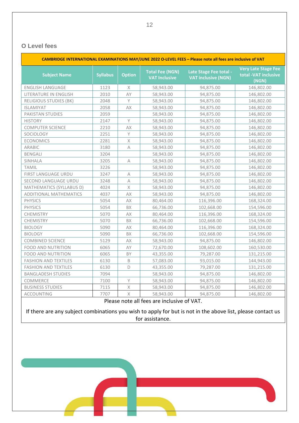#### **O Level fees**

| CAMBRIDGE INTERNATIONAL EXAMINATIONS MAY/JUNE 2022 O-LEVEL FEES - Please note all fees are inclusive of VAT |                 |                           |                                                |                                                      |                                                             |  |  |
|-------------------------------------------------------------------------------------------------------------|-----------------|---------------------------|------------------------------------------------|------------------------------------------------------|-------------------------------------------------------------|--|--|
| <b>Subject Name</b>                                                                                         | <b>Syllabus</b> | <b>Option</b>             | <b>Total Fee (NGN)</b><br><b>VAT Inclusive</b> | Late Stage Fee total -<br><b>VAT inclusive (NGN)</b> | <b>Very Late Stage Fee</b><br>total -VAT inclusive<br>(NGN) |  |  |
| <b>ENGLISH LANGUAGE</b>                                                                                     | 1123            | Χ                         | 58,943.00                                      | 94,875.00                                            | 146,802.00                                                  |  |  |
| LITERATURE IN ENGLISH                                                                                       | 2010            | AY                        | 58,943.00                                      | 94,875.00                                            | 146,802.00                                                  |  |  |
| <b>RELIGIOUS STUDIES (BK)</b>                                                                               | 2048            | $\mathsf Y$               | 58,943.00                                      | 94,875.00                                            | 146,802.00                                                  |  |  |
| <b>ISLAMIYAT</b>                                                                                            | 2058            | AX                        | 58,943.00                                      | 94,875.00                                            | 146,802.00                                                  |  |  |
| PAKISTAN STUDIES                                                                                            | 2059            |                           | 58,943.00                                      | 94,875.00                                            | 146,802.00                                                  |  |  |
| <b>HISTORY</b>                                                                                              | 2147            | $\mathsf Y$               | 58,943.00                                      | 94,875.00                                            | 146,802.00                                                  |  |  |
| <b>COMPUTER SCIENCE</b>                                                                                     | 2210            | AX                        | 58,943.00                                      | 94,875.00                                            | 146,802.00                                                  |  |  |
| SOCIOLOGY                                                                                                   | 2251            | Y                         | 58,943.00                                      | 94,875.00                                            | 146,802.00                                                  |  |  |
| <b>ECONOMICS</b>                                                                                            | 2281            | $\mathsf X$               | 58,943.00                                      | 94,875.00                                            | 146,802.00                                                  |  |  |
| ARABIC                                                                                                      | 3180            | A                         | 58,943.00                                      | 94,875.00                                            | 146,802.00                                                  |  |  |
| <b>BENGALI</b>                                                                                              | 3204            |                           | 58,943.00                                      | 94,875.00                                            | 146,802.00                                                  |  |  |
| SINHALA                                                                                                     | 3205            | $\boldsymbol{\mathsf{A}}$ | 58,943.00                                      | 94,875.00                                            | 146,802.00                                                  |  |  |
| <b>TAMIL</b>                                                                                                | 3226            |                           | 58,943.00                                      | 94,875.00                                            | 146,802.00                                                  |  |  |
| FIRST LANGUAGE URDU                                                                                         | 3247            | A                         | 58,943.00                                      | 94,875.00                                            | 146,802.00                                                  |  |  |
| SECOND LANGUAGE URDU                                                                                        | 3248            | А                         | 58,943.00                                      | 94,875.00                                            | 146,802.00                                                  |  |  |
| MATHEMATICS (SYLLABUS D)                                                                                    | 4024            | $\mathsf X$               | 58,943.00                                      | 94,875.00                                            | 146,802.00                                                  |  |  |
| ADDITIONAL MATHEMATICS                                                                                      | 4037            | AX                        | 58,943.00                                      | 94,875.00                                            | 146,802.00                                                  |  |  |
| <b>PHYSICS</b>                                                                                              | 5054            | AX                        | 80,464.00                                      | 116,396.00                                           | 168,324.00                                                  |  |  |
| <b>PHYSICS</b>                                                                                              | 5054            | <b>BX</b>                 | 66,736.00                                      | 102,668.00                                           | 154,596.00                                                  |  |  |
| CHEMISTRY                                                                                                   | 5070            | AX                        | 80,464.00                                      | 116,396.00                                           | 168,324.00                                                  |  |  |
| CHEMISTRY                                                                                                   | 5070            | <b>BX</b>                 | 66,736.00                                      | 102,668.00                                           | 154,596.00                                                  |  |  |
| <b>BIOLOGY</b>                                                                                              | 5090            | AX                        | 80,464.00                                      | 116,396.00                                           | 168,324.00                                                  |  |  |
| <b>BIOLOGY</b>                                                                                              | 5090            | BX                        | 66,736.00                                      | 102,668.00                                           | 154,596.00                                                  |  |  |
| <b>COMBINED SCIENCE</b>                                                                                     | 5129            | AX                        | 58,943.00                                      | 94,875.00                                            | 146,802.00                                                  |  |  |
| <b>FOOD AND NUTRITION</b>                                                                                   | 6065            | AY                        | 72,670.00                                      | 108,602.00                                           | 160,530.00                                                  |  |  |
| <b>FOOD AND NUTRITION</b>                                                                                   | 6065            | BY                        | 43,355.00                                      | 79,287.00                                            | 131,215.00                                                  |  |  |
| <b>FASHION AND TEXTILES</b>                                                                                 | 6130            | B                         | 57,083.00                                      | 93,015.00                                            | 144,943.00                                                  |  |  |
| <b>FASHION AND TEXTILES</b>                                                                                 | 6130            | D                         | 43,355.00                                      | 79,287.00                                            | 131,215.00                                                  |  |  |
| <b>BANGLADESH STUDIES</b>                                                                                   | 7094            |                           | 58,943.00                                      | 94,875.00                                            | 146,802.00                                                  |  |  |
| COMMERCE                                                                                                    | 7100            | Υ                         | 58,943.00                                      | 94,875.00                                            | 146,802.00                                                  |  |  |
| <b>BUSINESS STUDIES</b>                                                                                     | 7115            | $\chi$                    | 58,943.00                                      | 94,875.00                                            | 146,802.00                                                  |  |  |
| <b>ACCOUNTING</b>                                                                                           | 7707            | $\mathsf X$               | 58,943.00                                      | 94,875.00                                            | 146,802.00                                                  |  |  |
|                                                                                                             |                 |                           | $D0$ $(100 - 00)$ $(00 - 00)$ $(00 - 00)$      |                                                      |                                                             |  |  |

Please note all fees are inclusive of VAT.

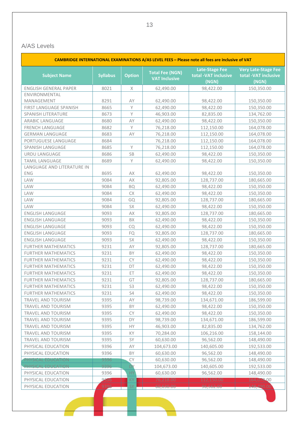#### A/AS Levels

| CAMBRIDGE INTERNATIONAL EXAMINATIONS A/AS LEVEL FEES - Please note all fees are inclusive of VAT |                 |                |                                                |                                                        |                                                             |  |  |
|--------------------------------------------------------------------------------------------------|-----------------|----------------|------------------------------------------------|--------------------------------------------------------|-------------------------------------------------------------|--|--|
| <b>Subject Name</b>                                                                              | <b>Syllabus</b> | <b>Option</b>  | <b>Total Fee (NGN)</b><br><b>VAT Inclusive</b> | <b>Late-Stage Fee</b><br>total -VAT inclusive<br>(NGN) | <b>Very Late-Stage Fee</b><br>total -VAT inclusive<br>(NGN) |  |  |
| <b>ENGLISH GENERAL PAPER</b>                                                                     | 8021            | X              | 62,490.00                                      | 98,422.00                                              | 150,350.00                                                  |  |  |
| ENVIRONMENTAL                                                                                    |                 |                |                                                |                                                        |                                                             |  |  |
| MANAGEMENT                                                                                       | 8291            | AY             | 62,490.00                                      | 98,422.00                                              | 150,350.00                                                  |  |  |
| FIRST LANGUAGE SPANISH                                                                           | 8665            | Y              | 62,490.00                                      | 98,422.00                                              | 150,350.00                                                  |  |  |
| SPANISH LITERATURE                                                                               | 8673            | Y              | 46,903.00                                      | 82,835.00                                              | 134,762.00                                                  |  |  |
| <b>ARABIC LANGUAGE</b>                                                                           | 8680            | AY             | 62,490.00                                      | 98,422.00                                              | 150,350.00                                                  |  |  |
| FRENCH LANGUAGE                                                                                  | 8682            | Y              | 76,218.00                                      | 112,150.00                                             | 164,078.00                                                  |  |  |
| <b>GERMAN LANGUAGE</b>                                                                           | 8683            | AY             | 76,218.00                                      | 112,150.00                                             | 164,078.00                                                  |  |  |
| PORTUGUESE LANGUAGE                                                                              | 8684            |                | 76,218.00                                      | 112,150.00                                             | 164,078.00                                                  |  |  |
| SPANISH LANGUAGE                                                                                 | 8685            | Y              | 76,218.00                                      | 112,150.00                                             | 164,078.00                                                  |  |  |
| URDU LANGUAGE                                                                                    | 8686            | SB             | 62,490.00                                      | 98,422.00                                              | 150,350.00                                                  |  |  |
| <b>TAMIL LANGUAGE</b>                                                                            | 8689            | Y              | 62,490.00                                      | 98,422.00                                              | 150,350.00                                                  |  |  |
| LANGUAGE AND LITERATURE IN                                                                       |                 |                |                                                |                                                        |                                                             |  |  |
| ENG                                                                                              | 8695            | AX             | 62,490.00                                      | 98,422.00                                              | 150,350.00                                                  |  |  |
| LAW                                                                                              | 9084            | AX             | 92,805.00                                      | 128,737.00                                             | 180,665.00                                                  |  |  |
| LAW                                                                                              | 9084            | <b>BQ</b>      | 62,490.00                                      | 98,422.00                                              | 150,350.00                                                  |  |  |
| LAW                                                                                              | 9084            | СX             | 62,490.00                                      | 98,422.00                                              | 150,350.00                                                  |  |  |
| LAW                                                                                              | 9084            | GQ             | 92,805.00                                      | 128,737.00                                             | 180,665.00                                                  |  |  |
| <b>LAW</b>                                                                                       | 9084            | SX             | 62,490.00                                      | 98,422.00                                              | 150,350.00                                                  |  |  |
| <b>ENGLISH LANGUAGE</b>                                                                          | 9093            | AX             | 92,805.00                                      | 128,737.00                                             | 180,665.00                                                  |  |  |
| <b>ENGLISH LANGUAGE</b>                                                                          | 9093            | BX             | 62,490.00                                      | 98,422.00                                              | 150,350.00                                                  |  |  |
| <b>ENGLISH LANGUAGE</b>                                                                          | 9093            | CQ             | 62,490.00                                      | 98,422.00                                              | 150,350.00                                                  |  |  |
| <b>ENGLISH LANGUAGE</b>                                                                          | 9093            | FQ             | 92,805.00                                      | 128,737.00                                             | 180,665.00                                                  |  |  |
| ENGLISH LANGUAGE                                                                                 | 9093            | SX             | 62,490.00                                      | 98,422.00                                              | 150,350.00                                                  |  |  |
| <b>FURTHER MATHEMATICS</b>                                                                       | 9231            | AY             | 92,805.00                                      | 128,737.00                                             | 180,665.00                                                  |  |  |
| <b>FURTHER MATHEMATICS</b>                                                                       | 9231            | BY             | 62,490.00                                      | 98,422.00                                              | 150,350.00                                                  |  |  |
| <b>FURTHER MATHEMATICS</b>                                                                       | 9231            | <b>CY</b>      | 62,490.00                                      | 98,422.00                                              | 150,350.00                                                  |  |  |
| <b>FURTHER MATHEMATICS</b>                                                                       | 9231            | DT             | 62,490.00                                      | 98,422.00                                              | 150,350.00                                                  |  |  |
| <b>FURTHER MATHEMATICS</b>                                                                       | 9231            | ET             | 62,490.00                                      | 98,422.00                                              | 150,350.00                                                  |  |  |
| <b>FURTHER MATHEMATICS</b>                                                                       | 9231            | GT             | 92,805.00                                      | 128,737.00                                             | 180,665.00                                                  |  |  |
| <b>FURTHER MATHEMATICS</b>                                                                       | 9231            | S <sub>3</sub> | 62,490.00                                      | 98,422.00                                              | 150,350.00                                                  |  |  |
| <b>FURTHER MATHEMATICS</b>                                                                       | 9231            | S4             | 62,490.00                                      | 98,422.00                                              | 150,350.00                                                  |  |  |
| TRAVEL AND TOURISM                                                                               | 9395            | AY             | 98,739.00                                      | 134,671.00                                             | 186,599.00                                                  |  |  |
| TRAVEL AND TOURISM                                                                               | 9395            | BY             | 62,490.00                                      | 98,422.00                                              | 150,350.00                                                  |  |  |
| TRAVEL AND TOURISM                                                                               | 9395            | <b>CY</b>      | 62,490.00                                      | 98,422.00                                              | 150,350.00                                                  |  |  |
| TRAVEL AND TOURISM                                                                               | 9395            | DY             | 98,739.00                                      | 134,671.00                                             | 186,599.00                                                  |  |  |
| TRAVEL AND TOURISM                                                                               | 9395            | HY.            | 46,903.00                                      | 82,835.00                                              | 134,762.00                                                  |  |  |
| TRAVEL AND TOURISM                                                                               | 9395            | KY             | 70,284.00                                      | 106,216.00                                             | 158,144.00                                                  |  |  |
| TRAVEL AND TOURISM                                                                               | 9395            | SY             | 60,630.00                                      | 96,562.00                                              | 148,490.00                                                  |  |  |
| PHYSICAL EDUCATION                                                                               | 9396            | AY             | 104,673.00                                     | 140,605.00                                             | 192,533.00                                                  |  |  |
| PHYSICAL EDUCATION                                                                               | 9396            | BY             | 60,630.00                                      | 96,562.00                                              | 148,490.00                                                  |  |  |
| PHYSICAL EDUCATION                                                                               | 9396            | <b>CY</b>      | 60,630.00                                      | 96,562.00                                              | 148,490.00                                                  |  |  |
| PHYSICAL EDUCATION                                                                               | 9396            | DY             | 104,673.00                                     | 140,605.00                                             | 192,533.00                                                  |  |  |
| PHYSICAL EDUCATION                                                                               | 9396            | HY             | 60,630.00                                      | 96,562.00                                              | 148,490.00                                                  |  |  |
| PHYSICAL EDUCATION                                                                               | 9396            | KY             | 76,218.00                                      | 112,150.00                                             | 164,078.00                                                  |  |  |
| PHYSICAL EDUCATION                                                                               | 9396            | <b>SY</b>      | 60,630.00                                      | 96,562.00                                              | 148,490.00                                                  |  |  |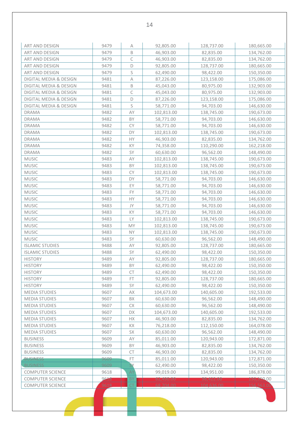| ART AND DESIGN          | 9479 | $\wedge$    | 92,805.00  | 128,737.00 | 180,665.00 |
|-------------------------|------|-------------|------------|------------|------------|
| <b>ART AND DESIGN</b>   | 9479 | B           | 46,903.00  | 82,835.00  | 134,762.00 |
| ART AND DESIGN          | 9479 | С           | 46,903.00  | 82,835.00  | 134,762.00 |
| ART AND DESIGN          | 9479 | $\mathsf D$ | 92,805.00  | 128,737.00 | 180,665.00 |
| ART AND DESIGN          | 9479 | S           | 62,490.00  | 98,422.00  | 150,350.00 |
| DIGITAL MEDIA & DESIGN  | 9481 | А           | 87,226.00  | 123,158.00 | 175,086.00 |
| DIGITAL MEDIA & DESIGN  | 9481 | B           | 45,043.00  | 80,975.00  | 132,903.00 |
| DIGITAL MEDIA & DESIGN  | 9481 | C           | 45,043.00  | 80,975.00  | 132,903.00 |
| DIGITAL MEDIA & DESIGN  | 9481 | $\mathsf D$ | 87,226.00  | 123,158.00 | 175,086.00 |
| DIGITAL MEDIA & DESIGN  | 9481 | S           | 58,771.00  | 94,703.00  | 146,630.00 |
| <b>DRAMA</b>            | 9482 | AY          |            |            |            |
| <b>DRAMA</b>            | 9482 | BY          | 102,813.00 | 138,745.00 | 190,673.00 |
|                         |      |             | 58,771.00  | 94,703.00  | 146,630.00 |
| <b>DRAMA</b>            | 9482 | <b>CY</b>   | 58,771.00  | 94,703.00  | 146,630.00 |
| <b>DRAMA</b>            | 9482 | DY          | 102,813.00 | 138,745.00 | 190,673.00 |
| <b>DRAMA</b>            | 9482 | HY          | 46,903.00  | 82,835.00  | 134,762.00 |
| <b>DRAMA</b>            | 9482 | KY          | 74,358.00  | 110,290.00 | 162,218.00 |
| <b>DRAMA</b>            | 9482 | SY          | 60,630.00  | 96,562.00  | 148,490.00 |
| <b>MUSIC</b>            | 9483 | AY          | 102,813.00 | 138,745.00 | 190,673.00 |
| <b>MUSIC</b>            | 9483 | BY          | 102,813.00 | 138,745.00 | 190,673.00 |
| <b>MUSIC</b>            | 9483 | <b>CY</b>   | 102,813.00 | 138,745.00 | 190,673.00 |
| <b>MUSIC</b>            | 9483 | DY          | 58,771.00  | 94,703.00  | 146,630.00 |
| <b>MUSIC</b>            | 9483 | EY          | 58,771.00  | 94,703.00  | 146,630.00 |
| <b>MUSIC</b>            | 9483 | <b>FY</b>   | 58,771.00  | 94,703.00  | 146,630.00 |
| <b>MUSIC</b>            | 9483 | HY          | 58,771.00  | 94,703.00  | 146,630.00 |
| <b>MUSIC</b>            | 9483 | JY          | 58,771.00  | 94,703.00  | 146,630.00 |
| <b>MUSIC</b>            | 9483 | KY          | 58,771.00  | 94,703.00  | 146,630.00 |
| <b>MUSIC</b>            | 9483 | LY          | 102,813.00 | 138,745.00 | 190,673.00 |
| <b>MUSIC</b>            | 9483 | MY          | 102,813.00 | 138,745.00 | 190,673.00 |
| <b>MUSIC</b>            | 9483 | <b>NY</b>   | 102,813.00 | 138,745.00 | 190,673.00 |
| <b>MUSIC</b>            | 9483 | SY          | 60,630.00  | 96,562.00  | 148,490.00 |
| <b>ISLAMIC STUDIES</b>  | 9488 | AY          | 92,805.00  | 128,737.00 | 180,665.00 |
| <b>ISLAMIC STUDIES</b>  | 9488 | SY          | 62,490.00  | 98,422.00  | 150,350.00 |
| <b>HISTORY</b>          | 9489 | AY          | 92,805.00  | 128,737.00 | 180,665.00 |
| <b>HISTORY</b>          | 9489 | BY          | 62,490.00  | 98,422.00  | 150,350.00 |
| <b>HISTORY</b>          | 9489 | <b>CT</b>   | 62,490.00  | 98,422.00  | 150,350.00 |
| <b>HISTORY</b>          | 9489 | FT.         | 92,805.00  | 128,737.00 | 180,665.00 |
| <b>HISTORY</b>          | 9489 | SY          | 62,490.00  | 98,422.00  | 150,350.00 |
| <b>MEDIA STUDIES</b>    | 9607 | AX          | 104,673.00 | 140,605.00 | 192,533.00 |
| <b>MEDIA STUDIES</b>    | 9607 | BX          | 60,630.00  | 96,562.00  | 148,490.00 |
| <b>MEDIA STUDIES</b>    | 9607 | СX          | 60,630.00  | 96,562.00  | 148,490.00 |
| <b>MEDIA STUDIES</b>    | 9607 | DX          | 104,673.00 | 140,605.00 | 192,533.00 |
| <b>MEDIA STUDIES</b>    | 9607 | НX          | 46,903.00  | 82,835.00  | 134,762.00 |
| <b>MEDIA STUDIES</b>    | 9607 | КX          | 76,218.00  | 112,150.00 | 164,078.00 |
| <b>MEDIA STUDIES</b>    | 9607 | SX          | 60,630.00  | 96,562.00  | 148,490.00 |
| <b>BUSINESS</b>         | 9609 | AY          | 85,011.00  | 120,943.00 | 172,871.00 |
| <b>BUSINESS</b>         | 9609 | <b>BY</b>   | 46,903.00  | 82,835.00  | 134,762.00 |
| <b>BUSINESS</b>         | 9609 | <b>CT</b>   | 46,903.00  | 82,835.00  | 134,762.00 |
| <b>BUSINESS</b>         | 9609 | FT          | 85,011.00  | 120,943.00 | 172,871.00 |
| <b>BUSINESS</b>         | 9609 | SY.         | 62,490.00  | 98,422.00  | 150,350.00 |
| <b>COMPUTER SCIENCE</b> | 9618 | AY          | 99,019.00  | 134,951.00 | 186,878.00 |
| <b>COMPUTER SCIENCE</b> | 9618 | <b>BY</b>   | 62,490.00  | 98,422.00  | 150,350,00 |
| <b>COMPUTER SCIENCE</b> | 9618 | СT          | 68,704.00  | 104,636.00 | 156,563.00 |
|                         |      |             |            |            |            |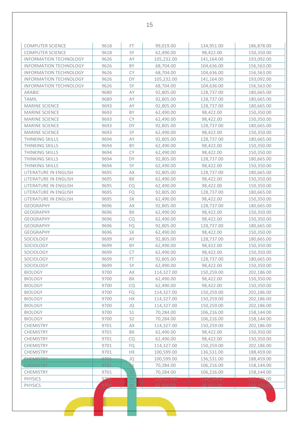| <b>COMPUTER SCIENCE</b>                                        | 9618 | FT.            | 99,019.00  | 134,951.00               | 186,878.00               |
|----------------------------------------------------------------|------|----------------|------------|--------------------------|--------------------------|
| <b>COMPUTER SCIENCE</b>                                        | 9618 | SY             | 62,490.00  | 98,422.00                | 150,350.00               |
| <b>INFORMATION TECHNOLOGY</b>                                  | 9626 | ΑY             | 105,232.00 | 141,164.00               | 193,092.00               |
| <b>INFORMATION TECHNOLOGY</b>                                  | 9626 | BY             | 68,704.00  |                          |                          |
| <b>INFORMATION TECHNOLOGY</b>                                  | 9626 | <b>CY</b>      | 68,704.00  | 104,636.00<br>104,636.00 | 156,563.00<br>156,563.00 |
|                                                                | 9626 | DY             |            |                          |                          |
| <b>INFORMATION TECHNOLOGY</b><br><b>INFORMATION TECHNOLOGY</b> | 9626 | SY             | 105,232.00 | 141,164.00               | 193,092.00               |
| <b>ARABIC</b>                                                  |      |                | 68,704.00  | 104,636.00               | 156,563.00               |
|                                                                | 9680 | AY             | 92,805.00  | 128,737.00               | 180,665.00               |
| <b>TAMIL</b>                                                   | 9689 | AY             | 92,805.00  | 128,737.00               | 180,665.00               |
| <b>MARINE SCIENCE</b>                                          | 9693 | AY             | 92,805.00  | 128,737.00               | 180,665.00               |
| <b>MARINE SCIENCE</b>                                          | 9693 | BY             | 62,490.00  | 98,422.00                | 150,350.00               |
| MARINE SCIENCE                                                 | 9693 | <b>CY</b>      | 62,490.00  | 98,422.00                | 150,350.00               |
| <b>MARINE SCIENCE</b>                                          | 9693 | DY             | 92,805.00  | 128,737.00               | 180,665.00               |
| <b>MARINE SCIENCE</b>                                          | 9693 | SY             | 62,490.00  | 98,422.00                | 150,350.00               |
| <b>THINKING SKILLS</b>                                         | 9694 | AY             | 92,805.00  | 128,737.00               | 180,665.00               |
| <b>THINKING SKILLS</b>                                         | 9694 | BY             | 62,490.00  | 98,422.00                | 150,350.00               |
| <b>THINKING SKILLS</b>                                         | 9694 | <b>CY</b>      | 62,490.00  | 98,422.00                | 150,350.00               |
| <b>THINKING SKILLS</b>                                         | 9694 | DY             | 92,805.00  | 128,737.00               | 180,665.00               |
| THINKING SKILLS                                                | 9694 | SY             | 62,490.00  | 98,422.00                | 150,350.00               |
| LITERATURE IN ENGLISH                                          | 9695 | AX             | 92,805.00  | 128,737.00               | 180,665.00               |
| LITERATURE IN ENGLISH                                          | 9695 | BX             | 62,490.00  | 98,422.00                | 150,350.00               |
| LITERATURE IN ENGLISH                                          | 9695 | <b>CQ</b>      | 62,490.00  | 98,422.00                | 150,350.00               |
| LITERATURE IN ENGLISH                                          | 9695 | FQ             | 92,805.00  | 128,737.00               | 180,665.00               |
| LITERATURE IN ENGLISH                                          | 9695 | SX             | 62,490.00  | 98,422.00                | 150,350.00               |
| GEOGRAPHY                                                      | 9696 | AX             | 92,805.00  | 128,737.00               | 180,665.00               |
| <b>GEOGRAPHY</b>                                               | 9696 | BX             | 62,490.00  | 98,422.00                | 150,350.00               |
| <b>GEOGRAPHY</b>                                               | 9696 | CQ             | 62,490.00  | 98,422.00                | 150,350.00               |
| <b>GEOGRAPHY</b>                                               | 9696 | FQ             | 92,805.00  | 128,737.00               | 180,665.00               |
| <b>GEOGRAPHY</b>                                               | 9696 | SX             | 62,490.00  | 98,422.00                | 150,350.00               |
| SOCIOLOGY                                                      | 9699 | AY             | 92,805.00  | 128,737.00               | 180,665.00               |
| SOCIOLOGY                                                      | 9699 | BY             | 62,490.00  | 98,422.00                | 150,350.00               |
| SOCIOLOGY                                                      | 9699 | <b>CT</b>      | 62,490.00  | 98,422.00                | 150,350.00               |
| SOCIOLOGY                                                      | 9699 | FT             | 92,805.00  | 128,737.00               | 180,665.00               |
| SOCIOLOGY                                                      | 9699 | SY             | 62,490.00  | 98,422.00                | 150,350.00               |
| <b>BIOLOGY</b>                                                 | 9700 | АX             | 114,327.00 | 150,259.00               | 202,186.00               |
| <b>BIOLOGY</b>                                                 | 9700 | ΒX             | 62,490.00  | 98,422.00                | 150,350.00               |
| <b>BIOLOGY</b>                                                 | 9700 | CQ             | 62,490.00  | 98,422.00                | 150,350.00               |
| <b>BIOLOGY</b>                                                 | 9700 | FQ             | 114,327.00 | 150,259.00               | 202,186.00               |
| <b>BIOLOGY</b>                                                 | 9700 | НX             | 114,327.00 | 150,259.00               | 202,186.00               |
| <b>BIOLOGY</b>                                                 | 9700 | JQ             | 114,327.00 | 150,259.00               | 202,186.00               |
| <b>BIOLOGY</b>                                                 | 9700 | S1             | 70,284.00  | 106,216.00               | 158,144.00               |
| <b>BIOLOGY</b>                                                 | 9700 | S <sub>2</sub> | 70,284.00  | 106,216.00               | 158,144.00               |
| <b>CHEMISTRY</b>                                               | 9701 | AX             | 114,327.00 | 150,259.00               | 202,186.00               |
| <b>CHEMISTRY</b>                                               | 9701 | ΒX             | 62,490.00  | 98,422.00                | 150,350.00               |
| <b>CHEMISTRY</b>                                               | 9701 | CQ             | 62,490.00  | 98,422.00                | 150,350.00               |
| <b>CHEMISTRY</b>                                               | 9701 | FQ             | 114,327.00 | 150,259.00               | 202,186.00               |
| <b>CHEMISTRY</b>                                               | 9701 | НX             | 100,599.00 | 136,531.00               | 188,459.00               |
| <b>CHEMISTRY</b>                                               | 9701 | JQ             | 100,599.00 | 136,531.00               | 188,459.00               |
| <b>CHEMISTRY</b>                                               | 9701 | 31             | 70,284.00  | 106,216.00               | 158,144.00               |
| <b>CHEMISTRY</b>                                               | 9701 | S <sub>2</sub> | 70,284.00  | 106,216.00               | 158,144.00               |
| PHYSICS                                                        | 9702 | AX             | 114,327.00 | 150,259.00               | 202,186.00               |
| <b>PHYSICS</b>                                                 | 9702 | BX             | 62,490.00  | 98.422.00                | 150,350.00               |
|                                                                |      |                |            |                          |                          |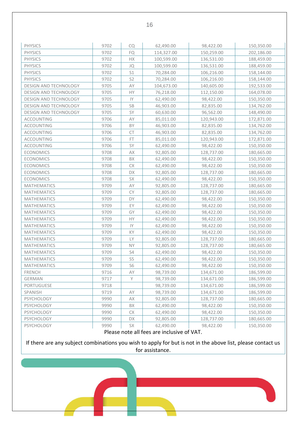| <b>PHYSICS</b>               | 9702 | CQ             | 62,490.00  | 98,422.00  | 150,350.00 |
|------------------------------|------|----------------|------------|------------|------------|
| <b>PHYSICS</b>               | 9702 | FQ             | 114,327.00 | 150,259.00 | 202,186.00 |
| <b>PHYSICS</b>               | 9702 | НX             | 100,599.00 | 136,531.00 | 188,459.00 |
| <b>PHYSICS</b>               | 9702 | JQ             | 100,599.00 | 136,531.00 | 188,459.00 |
| <b>PHYSICS</b>               | 9702 | S1             | 70,284.00  | 106,216.00 | 158,144.00 |
| <b>PHYSICS</b>               | 9702 | S <sub>2</sub> | 70,284.00  | 106,216.00 | 158,144.00 |
| DESIGN AND TECHNOLOGY        | 9705 | AY             | 104,673.00 | 140,605.00 | 192,533.00 |
| DESIGN AND TECHNOLOGY        | 9705 | HY.            | 76,218.00  | 112,150.00 | 164,078.00 |
| DESIGN AND TECHNOLOGY        | 9705 | IY             | 62,490.00  | 98,422.00  | 150,350.00 |
| DESIGN AND TECHNOLOGY        | 9705 | SB             | 46,903.00  | 82,835.00  | 134,762.00 |
| <b>DESIGN AND TECHNOLOGY</b> | 9705 | SY             | 60,630.00  | 96,562.00  | 148,490.00 |
| ACCOUNTING                   | 9706 | AY             | 85,011.00  | 120,943.00 | 172,871.00 |
| <b>ACCOUNTING</b>            | 9706 | BY             | 46,903.00  | 82,835.00  | 134,762.00 |
| <b>ACCOUNTING</b>            | 9706 | CT             | 46,903.00  | 82,835.00  | 134,762.00 |
| <b>ACCOUNTING</b>            | 9706 | FT             | 85,011.00  | 120,943.00 | 172,871.00 |
| ACCOUNTING                   | 9706 | SY             | 62,490.00  | 98,422.00  | 150,350.00 |
| <b>ECONOMICS</b>             | 9708 | AX             | 92,805.00  | 128,737.00 | 180,665.00 |
| <b>ECONOMICS</b>             | 9708 | BX             | 62,490.00  | 98,422.00  | 150,350.00 |
| <b>ECONOMICS</b>             | 9708 | CX             | 62,490.00  | 98,422.00  | 150,350.00 |
| <b>ECONOMICS</b>             | 9708 | DX             | 92,805.00  | 128,737.00 | 180,665.00 |
| <b>ECONOMICS</b>             | 9708 | SX             | 62,490.00  | 98,422.00  | 150,350.00 |
| <b>MATHEMATICS</b>           | 9709 | AY             | 92,805.00  | 128,737.00 | 180,665.00 |
| <b>MATHEMATICS</b>           | 9709 | <b>CY</b>      | 92,805.00  | 128,737.00 | 180,665.00 |
| <b>MATHEMATICS</b>           | 9709 | DY             | 62,490.00  | 98,422.00  | 150,350.00 |
| <b>MATHEMATICS</b>           | 9709 | EY             | 62,490.00  | 98,422.00  | 150,350.00 |
| <b>MATHEMATICS</b>           | 9709 | GY             | 62,490.00  | 98,422.00  | 150,350.00 |
| <b>MATHEMATICS</b>           | 9709 | НY             | 62,490.00  | 98,422.00  | 150,350.00 |
| <b>MATHEMATICS</b>           | 9709 | IY             | 62,490.00  | 98,422.00  | 150,350.00 |
| <b>MATHEMATICS</b>           | 9709 | KY             | 62,490.00  | 98,422.00  | 150,350.00 |
| <b>MATHEMATICS</b>           | 9709 | LY             | 92,805.00  | 128,737.00 | 180,665.00 |
| <b>MATHEMATICS</b>           | 9709 | <b>NY</b>      | 92,805.00  | 128,737.00 | 180,665.00 |
| <b>MATHEMATICS</b>           | 9709 | S4             | 62,490.00  | 98,422.00  | 150,350.00 |
| <b>MATHEMATICS</b>           | 9709 | S <sub>5</sub> | 62,490.00  | 98,422.00  | 150,350.00 |
| <b>MATHEMATICS</b>           | 9709 | S6             | 62,490.00  | 98,422.00  | 150,350.00 |
| <b>FRENCH</b>                | 9716 | ΑY             | 98,739.00  | 134,671.00 | 186,599.00 |
| <b>GERMAN</b>                | 9717 | Y              | 98,739.00  | 134,671.00 | 186,599.00 |
| <b>PORTUGUESE</b>            | 9718 |                | 98,739.00  | 134,671.00 | 186,599.00 |
| SPANISH                      | 9719 | AY             | 98,739.00  | 134,671.00 | 186,599.00 |
| PSYCHOLOGY                   | 9990 | АX             | 92,805.00  | 128,737.00 | 180,665.00 |
| PSYCHOLOGY                   | 9990 | BX             | 62,490.00  | 98,422.00  | 150,350.00 |
| PSYCHOLOGY                   | 9990 | СX             | 62,490.00  | 98,422.00  | 150,350.00 |
| PSYCHOLOGY                   | 9990 | DX             | 92,805.00  | 128,737.00 | 180,665.00 |
| PSYCHOLOGY                   | 9990 | SX             | 62,490.00  | 98,422.00  | 150,350.00 |

Please note all fees are inclusive of VAT.